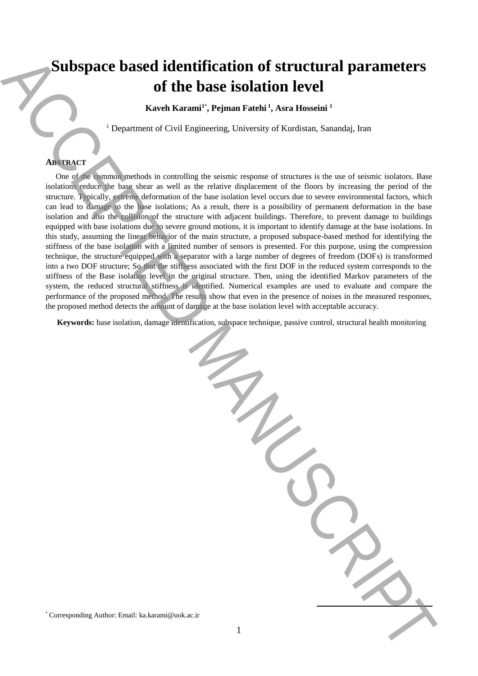# **Subspace based identification of structural parameters of the base isolation level**

**Kaveh Karami<sup>1</sup>**\* **, Pejman Fatehi <sup>1</sup> , Asra Hosseini <sup>1</sup>**

<sup>1</sup> Department of Civil Engineering, University of Kurdistan, Sanandaj, Iran

### **ABSTRACT**

 One of the common methods in controlling the seismic response of structures is the use of seismic isolators. Base isolations reduce the base shear as well as the relative displacement of the floors by increasing the period of the structure. Typically, extreme deformation of the base isolation level occurs due to severe environmental factors, which can lead to damage to the base isolations; As a result, there is a possibility of permanent deformation in the base isolation and also the collision of the structure with adjacent buildings. Therefore, to prevent damage to buildings equipped with base isolations due to severe ground motions, it is important to identify damage at the base isolations. In this study, assuming the linear behavior of the main structure, a proposed subspace-based method for identifying the stiffness of the base isolation with a limited number of sensors is presented. For this purpose, using the compression technique, the structure equipped with a separator with a large number of degrees of freedom (DOFs) is transformed into a two DOF structure; So that the stiffness associated with the first DOF in the reduced system corresponds to the stiffness of the Base isolation level in the original structure. Then, using the identified Markov parameters of the system, the reduced structural stiffness is identified. Numerical examples are used to evaluate and compare the performance of the proposed method. The results show that even in the presence of noises in the measured responses, the proposed method detects the amount of damage at the base isolation level with acceptable accuracy. **Subspace based identification of structural parameters**<br>
since  $\alpha$  Karami<sup>a</sup>, Pennanta, Karamia, Associates<br>  $\alpha$  Karamia, Associates<br>  $\alpha$  Corresponding Authorities to except the projection of  $\alpha$  Karamia, Saramia, Sa

**Keywords:** base isolation, damage identification, subspace technique, passive control, structural health monitoring

**.**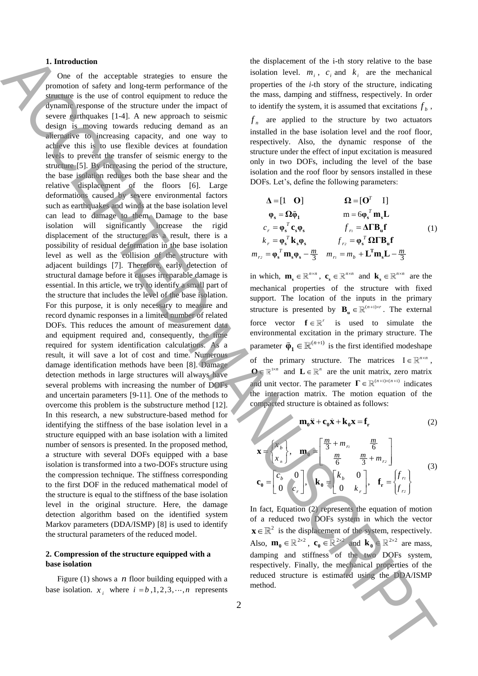#### **1. Introduction**

One of the acceptable strategies to ensure the promotion of safety and long-term performance of the structure is the use of control equipment to reduce the dynamic response of the structure under the impact of severe earthquakes [1-4]. A new approach to seismic design is moving towards reducing demand as an alternative to increasing capacity, and one way to achieve this is to use flexible devices at foundation levels to prevent the transfer of seismic energy to the structure [5]. By increasing the period of the structure, the base isolation reduces both the base shear and the relative displacement of the floors [6]. Large deformations caused by severe environmental factors such as earthquakes and winds at the base isolation level can lead to damage to them. Damage to the base isolation will significantly increase the rigid displacement of the structure; as a result, there is a possibility of residual deformation in the base isolation level as well as the collision of the structure with adjacent buildings [7]. Therefore, early detection of structural damage before it causes irreparable damage is essential. In this article, we try to identify a small part of the structure that includes the level of the base isolation. For this purpose, it is only necessary to measure and record dynamic responses in a limited number of related DOFs. This reduces the amount of measurement data and equipment required and, consequently, the time required for system identification calculations. As a result, it will save a lot of cost and time. Numerous damage identification methods have been [8]. Damage detection methods in large structures will always have several problems with increasing the number of DOFs and uncertain parameters [9-11]. One of the methods to overcome this problem is the substructure method [12]. In this research, a new substructure-based method for identifying the stiffness of the base isolation level in a structure equipped with an base isolation with a limited number of sensors is presented. In the proposed method, a structure with several DOFs equipped with a base isolation is transformed into a two-DOFs structure using the compression technique. The stiffness corresponding to the first DOF in the reduced mathematical model of the structure is equal to the stiffness of the base isolation level in the original structure. Here, the damage detection algorithm based on the identified system Markov parameters (DDA/ISMP) [8] is used to identify the structural parameters of the reduced model. **1.** Interesting the system were to see that the interest of the interest of the interest of the system interest of the system interest of the system interest of the system interest of the system interest of the system in

## **2. Compression of the structure equipped with a base isolation**

Figure  $(1)$  shows a *n* floor building equipped with a base isolation.  $x_i$  where  $i = b, 1, 2, 3, \dots, n$  represents the displacement of the i-th story relative to the base isolation level.  $m_i$ ,  $c_i$  and  $k_i$  are the mechanical properties of the *i*-th story of the structure, indicating the mass, damping and stiffness, respectively. In order to identify the system, it is assumed that excitations  $f<sub>b</sub>$ ,  $f_n$  are applied to the structure by two actuators

installed in the base isolation level and the roof floor, respectively. Also, the dynamic response of the structure under the effect of input excitation is measured only in two DOFs, including the level of the base isolation and the roof floor by sensors installed in these DOFs. Let's, define the following parameters:

$$
\Delta = \begin{bmatrix} 1 & \mathbf{O} \end{bmatrix} \qquad \qquad \mathbf{\Omega} = \begin{bmatrix} \mathbf{O}^T & \mathbf{I} \end{bmatrix}
$$
  
\n
$$
\varphi_s = \mathbf{\Omega} \tilde{\varphi}_1 \qquad \qquad m = 6 \varphi_s^T \mathbf{m}_s \mathbf{L}
$$
  
\n
$$
c_r = \varphi_s^T \mathbf{c}_s \varphi_s \qquad \qquad f_r = \Delta \mathbf{\Gamma} \mathbf{B_u} \mathbf{f} \qquad (1)
$$
  
\n
$$
k_r = \varphi_s^T \mathbf{k}_s \varphi_s \qquad \qquad f_{r2} = \varphi_s^T \mathbf{\Omega} \mathbf{\Gamma} \mathbf{B_u} \mathbf{f}
$$
  
\n
$$
m_{r2} = \varphi_s^T \mathbf{m}_s \varphi_s - \frac{m}{3} \qquad m_{r1} = m_b + \mathbf{L}^T \mathbf{m}_s \mathbf{L} - \frac{m}{3}
$$

in which,  $\mathbf{m}_s \in \mathbb{R}^{n \times n}$ ,  $\mathbf{c}_s \in \mathbb{R}^{n \times n}$  and  $\mathbf{k}_s \in \mathbb{R}^{n \times n}$  are the mechanical properties of the structure with fixed support. The location of the inputs in the primary structure is presented by  $\mathbf{B}_{\mathbf{u}} \in \mathbb{R}^{(n+1)\times r}$ . The external force vector  $f \in \mathbb{R}^r$  is used to simulate the environmental excitation in the primary structure. The parameter  $\tilde{\varphi}_1 \in \mathbb{R}^{(n+1)}$  is the first identified modeshape of the primary structure. The matrices  $I \in \mathbb{R}^{n \times n}$ ,  $\mathbf{0} \in \mathbb{R}^{1 \times n}$  and  $\mathbf{L} \in \mathbb{R}^{n}$  are the unit matrix, zero matrix and unit vector. The parameter  $\Gamma \in \mathbb{R}^{(n+1)\times(n+1)}$  indicates the interaction matrix. The motion equation of the compacted structure is obtained as follows:

$$
\mathbf{m}_0 \ddot{\mathbf{x}} + \mathbf{c}_0 \dot{\mathbf{x}} + \mathbf{k}_0 \mathbf{x} = \mathbf{f}_r
$$
 (2)

$$
\mathbf{x} = \begin{bmatrix} x_b \\ x_n \end{bmatrix}, \quad \mathbf{m}_0 = \begin{bmatrix} \frac{m}{3} + m_{r1} & \frac{m}{6} \\ \frac{m}{6} & \frac{m}{3} + m_{r2} \end{bmatrix}
$$
  
\n
$$
\mathbf{c}_0 = \begin{bmatrix} c_b & 0 \\ 0 & c_r \end{bmatrix}, \quad \mathbf{k}_0 = \begin{bmatrix} k_b & 0 \\ 0 & k_r \end{bmatrix}, \quad \mathbf{f}_r = \begin{bmatrix} f_{r1} \\ f_{r2} \end{bmatrix}
$$
 (3)

In fact, Equation  $(2)$  represents the equation of motion of a reduced two DOFs system in which the vector  $\mathbf{x} \in \mathbb{R}^2$  is the displacement of the system, respectively. Also,  $\mathbf{m}_0 \in \mathbb{R}^{2 \times 2}$ ,  $\mathbf{c}_0 \in \mathbb{R}^{2 \times 2}$  and  $\mathbf{k}_0 \in \mathbb{R}^{2 \times 2}$  are mass, damping and stiffness of the two DOFs system, respectively. Finally, the mechanical properties of the reduced structure is estimated using the DDA/ISMP